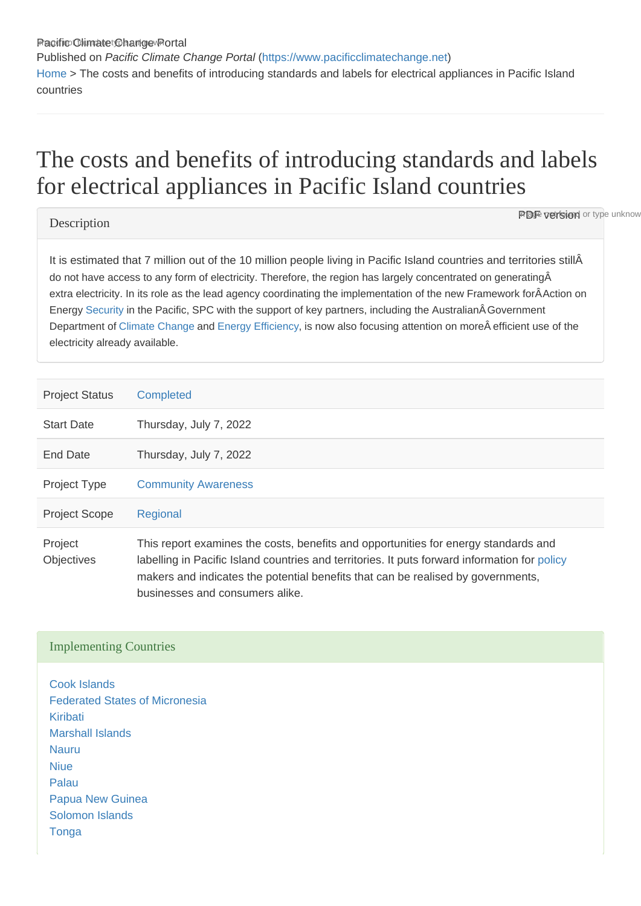Pacific Climate Change Portal Published on Pacific Climate Change Portal ([https://www.pacificclimatechange.net\)](https://www.pacificclimatechange.net) [Home](https://www.pacificclimatechange.net/) > The costs and benefits of introducing standards and labels for electrical appliances in Pacific Island countries

## The costs and benefits of introducing standards and labe for electrical appliances in Pacific Island countries

**Description** 

**PDF version** or type unknow

It is estimated that 7 million out of the 10 million people living in Pacific Island countries and territories stillÂ do not have access to any form of electricity. Therefore, the region has largely concentrated on generatingÂ extra electricity. In its role as the lead agency coordinating the implementation of the new Framework for ÂAction on Energy [Security](https://www.pacificclimatechange.net/glossary/letter_s#Security) in the Pacific, SPC with the support of key partners, including the Australian Government Department of [Climate Change](https://www.pacificclimatechange.net/glossary/letter_c#Climate_Change) and [Energy Efficiency,](https://www.pacificclimatechange.net/glossary/letter_e#Energy_efficiency) is now also focusing attention on more efficient use of the electricity already available.

| <b>Project Status</b>        | <b>Completed</b>                                                                                                                                                                                                                                                                                            |
|------------------------------|-------------------------------------------------------------------------------------------------------------------------------------------------------------------------------------------------------------------------------------------------------------------------------------------------------------|
| <b>Start Date</b>            | Thursday, July 7, 2022                                                                                                                                                                                                                                                                                      |
| End Date                     | Thursday, July 7, 2022                                                                                                                                                                                                                                                                                      |
| <b>Project Type</b>          | <b>Community Awareness</b>                                                                                                                                                                                                                                                                                  |
| <b>Project Scope</b>         | Regional                                                                                                                                                                                                                                                                                                    |
| Project<br><b>Objectives</b> | This report examines the costs, benefits and opportunities for energy standards and<br>labelling in Pacific Island countries and territories. It puts forward information for policy<br>makers and indicates the potential benefits that can be realised by governments,<br>businesses and consumers alike. |

## Implementing Countries

[Cook Islands](https://www.pacificclimatechange.net/node/9481) [Federated States of Micronesia](https://www.pacificclimatechange.net/node/9482) [Kiribati](https://www.pacificclimatechange.net/node/52) [Marshall Islands](https://www.pacificclimatechange.net/node/53) [Nauru](https://www.pacificclimatechange.net/node/54) **[Niue](https://www.pacificclimatechange.net/node/55)** [Palau](https://www.pacificclimatechange.net/node/57) [Papua New Guinea](https://www.pacificclimatechange.net/node/58) [Solomon Islands](https://www.pacificclimatechange.net/node/59) **[Tonga](https://www.pacificclimatechange.net/node/61)**